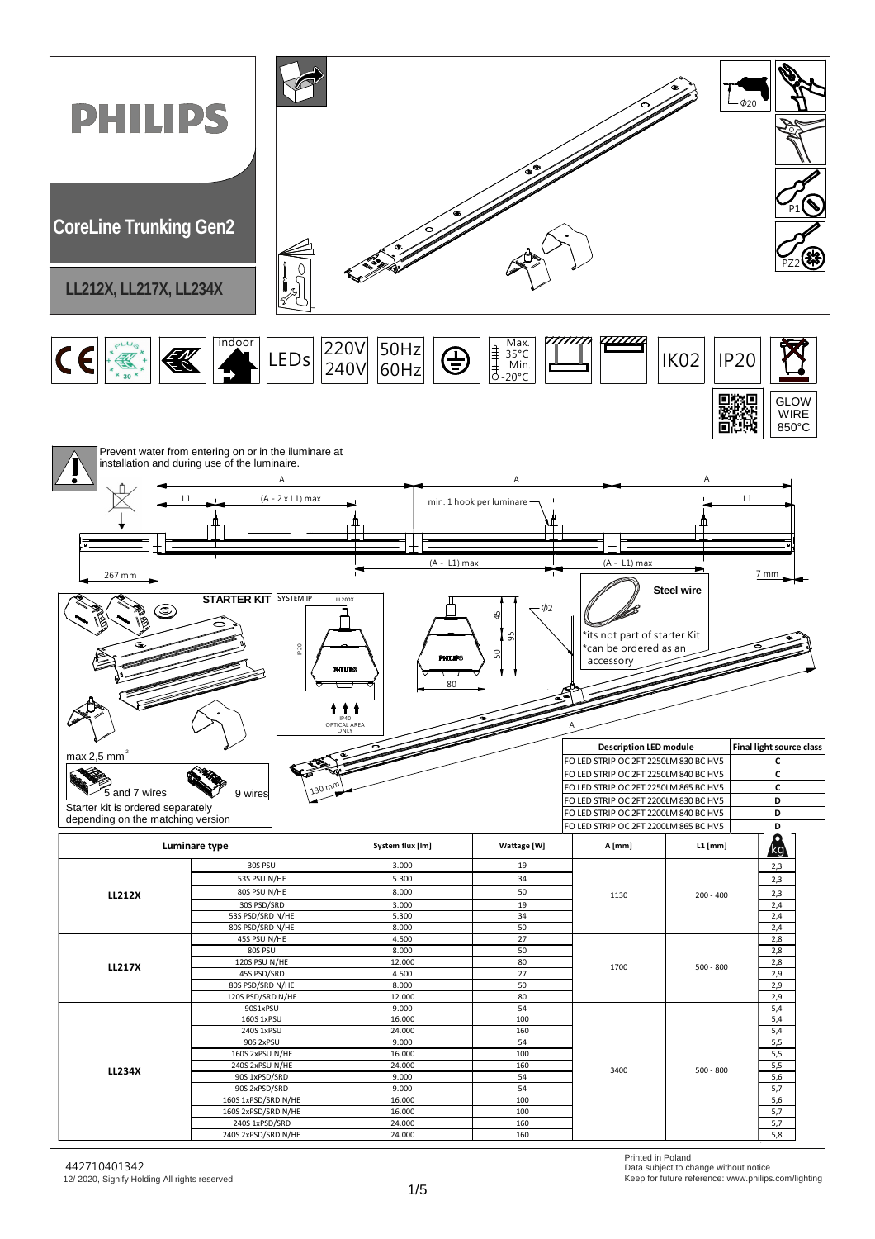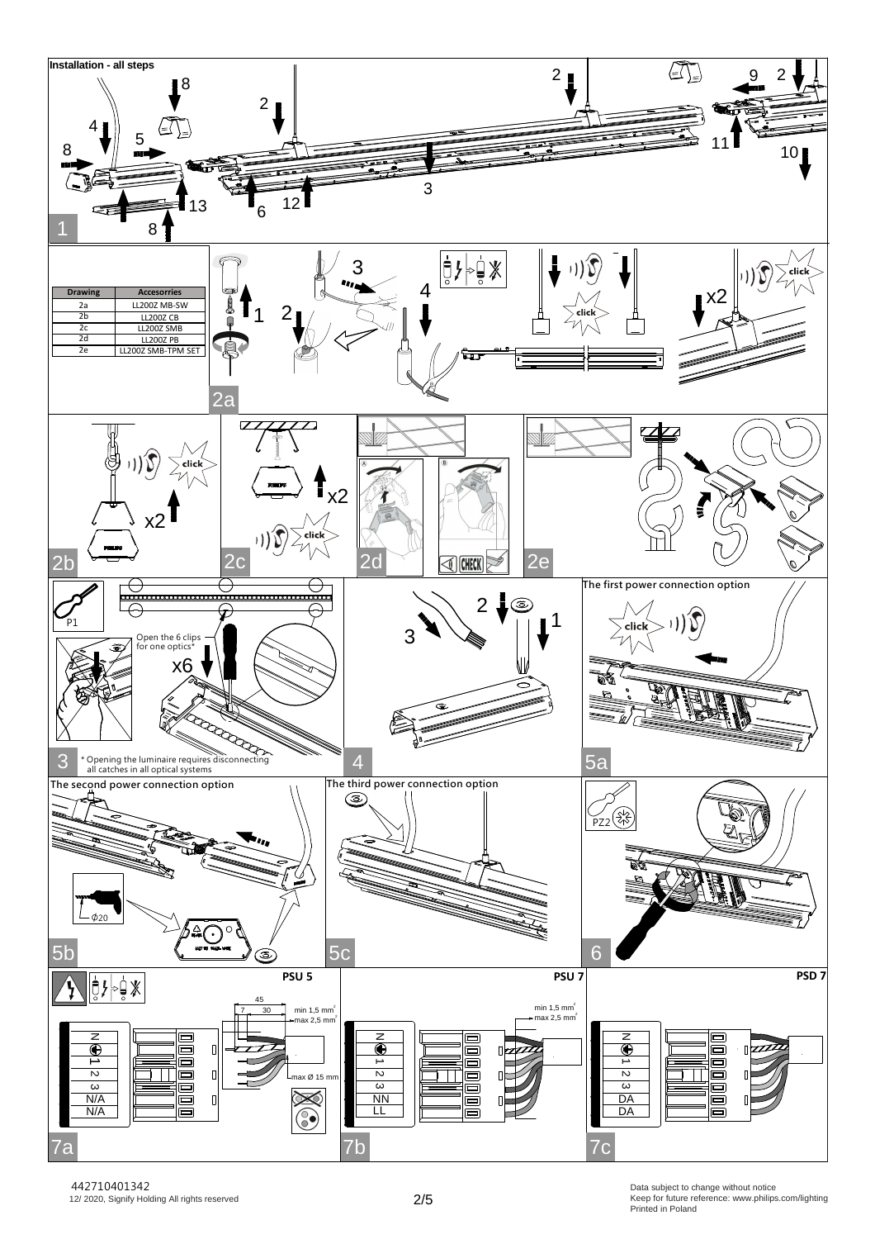

Printed in Poland Data subject to change without notice Keep for future reference: www.philips.com/lighting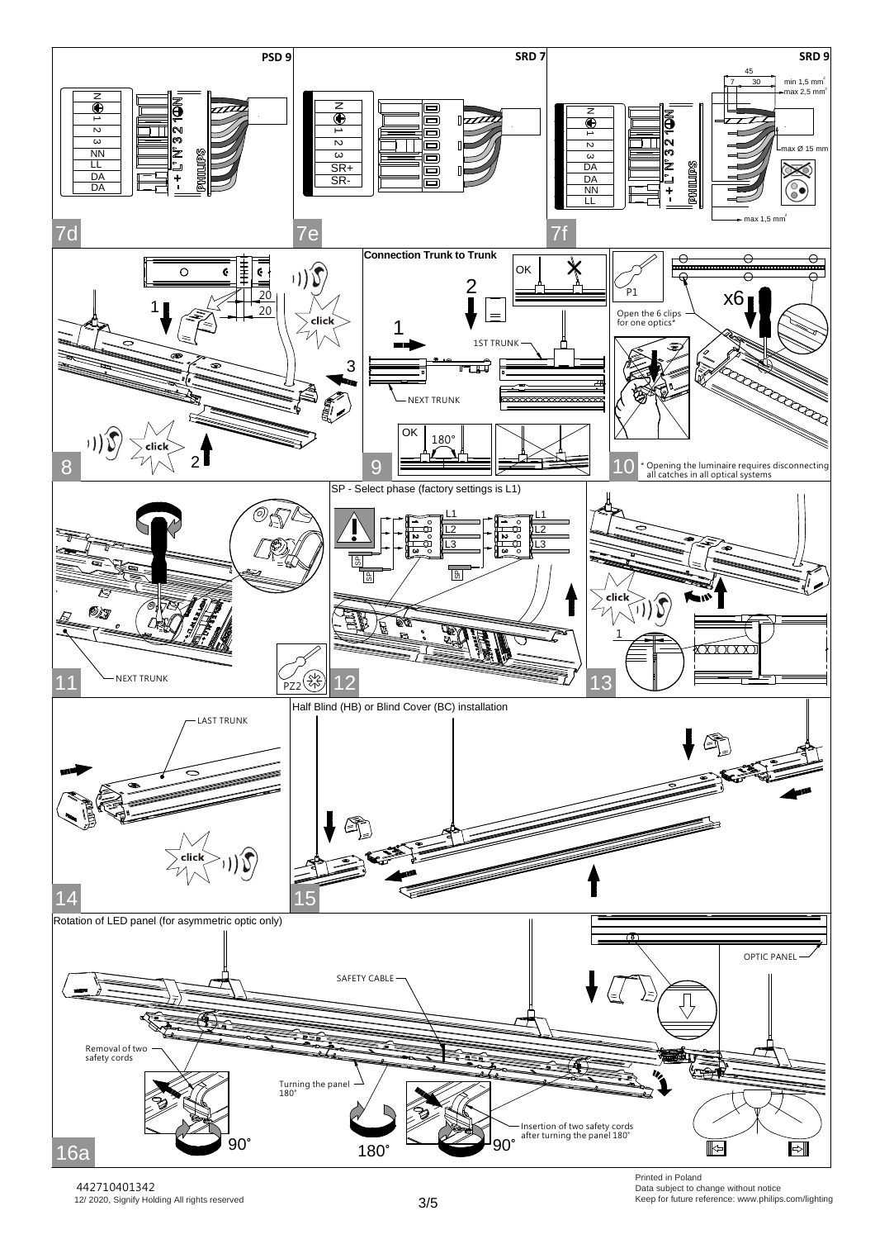

12/ 2020, Signify Holding All rights reserved 442710401342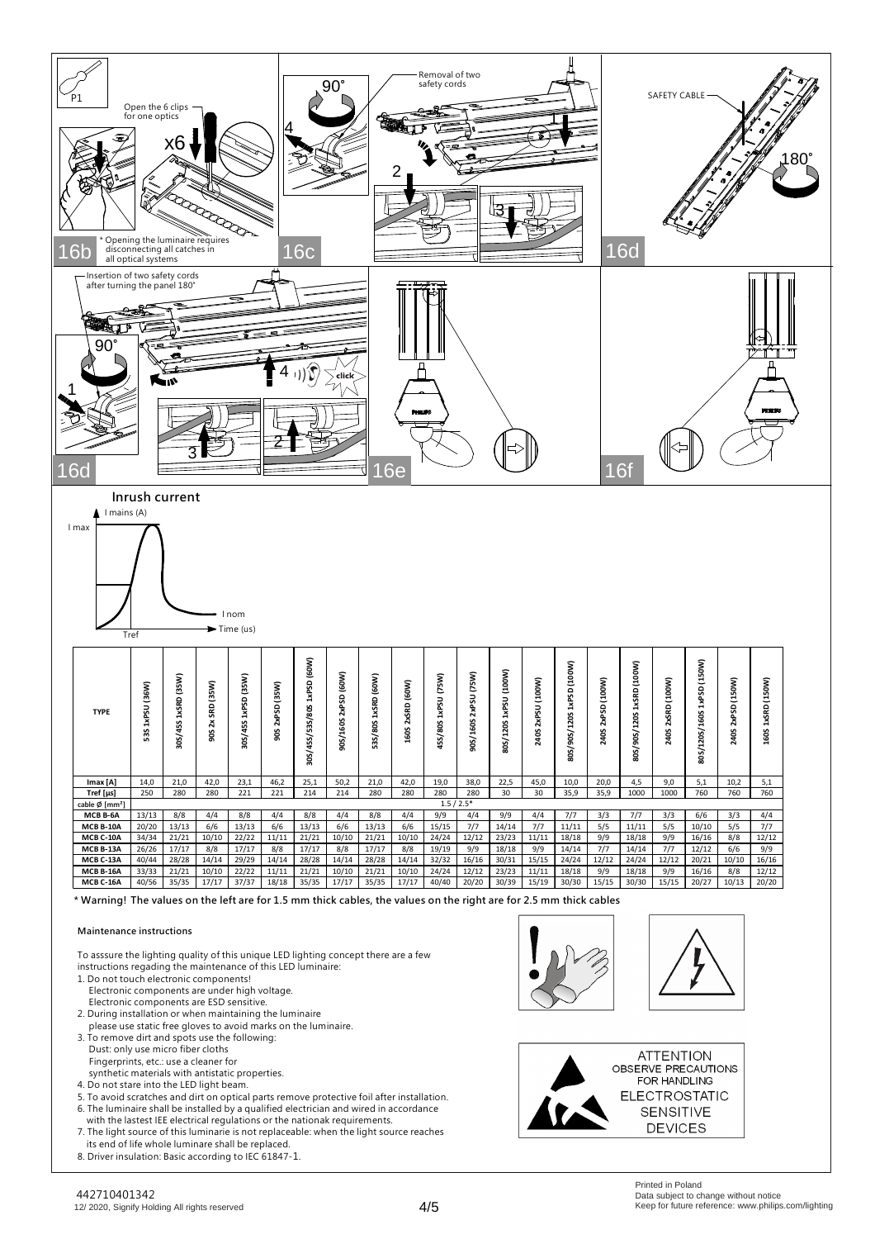

| MCB B-6A         | 13/13 | 8/8   | 4/4      | 8/8   | 4/4   | 8/8   | 4/4   | 8/8   | 4/4   | 9/9   |       | 9/9   | 4/4   | 7/7   |       |       | 3/3   | 6/6   | 3/3   |       |
|------------------|-------|-------|----------|-------|-------|-------|-------|-------|-------|-------|-------|-------|-------|-------|-------|-------|-------|-------|-------|-------|
| <b>MCB B-10A</b> | 20/20 | 13/13 | 6/6      | 13/13 | 6/6   | 13/13 | 6/6   | 13/13 | 6/6   | 15/15 | ר ו   | 14/14 |       | 11/1  | 5/5   |       | 5/5   | 10/10 | 5/5   |       |
| <b>MCB C-10A</b> | 34/34 | 21/21 | 10/10    | 22/22 |       | 21/21 | 10/10 | 21/21 | 10/10 | 24/24 | 12/12 | 23/23 | 11/11 | 18/18 | 9/9   | 18/18 | 9/9   | 16/16 | 8/8   | 12/12 |
| <b>MCB B-13A</b> | 26/26 | 17/17 | 8/8      | 17/17 | 8/8   | 17/17 | 8/8   | 17/17 | 8/8   | 19/19 | 9/9   | 18/18 | 9/9   | 14/14 |       | 14/14 | 7/.   | 12/12 | 6/6   | 9/9   |
| <b>MCB C-13A</b> | 40/44 | 28/28 | 14/14    | 29/29 | 14/14 | 28/28 | 14/14 | 28/28 | 14/14 | 32/32 | 16/16 | 30/31 | 15/15 | 24/24 | 12/12 | 24/24 | 12/12 | 20/21 | 10/10 | 16/16 |
| <b>MCB B-16A</b> | 33/33 | 21/21 | 10/10    | 22/22 |       | 21/21 | 10/10 | 21/21 | 10/10 | 24/24 | 12/12 | 23/23 | 11/1  | 18/18 | 9/9   | 18/18 | 9/9   | 16/16 | 8/8   | 12/12 |
| <b>MCB C-16A</b> | 40/56 | 35/35 | $17/1^-$ | 37/37 | 18/18 | 35/35 | 17/17 | 35/35 | 17/1  | 40/40 | 20/20 | 30/39 | 15/19 | 30/30 | 15/15 | 30/30 | 15/15 | 20/27 | 10/13 | 20/20 |

**\* Warning! The values on the left are for 1.5 mm thick cables, the values on the right are for 2.5 mm thick cables**

## **Maintenance instructions**

To asssure the lighting quality of this unique LED lighting concept there are a few instructions regading the maintenance of this LED luminaire:

- 1. Do not touch electronic components! Electronic components are under high voltage. Electronic components are ESD sensitive.
- 2. During installation or when maintaining the luminaire please use static free gloves to avoid marks on the luminaire.
- 3. To remove dirt and spots use the following: Dust: only use micro fiber cloths Fingerprints, etc.: use a cleaner for
- synthetic materials with antistatic properties.
- 4. Do not stare into the LED light beam.
- 5. To avoid scratches and dirt on optical parts remove protective foil after installation. 6. The luminaire shall be installed by a qualified electrician and wired in accordance
- with the lastest IEE electrical regulations or the nationak requirements. 7. The light source of this luminarie is not replaceable: when the light source reaches
- its end of life whole luminare shall be replaced.
- 8. Driver insulation: Basic according to IEC 61847-1.